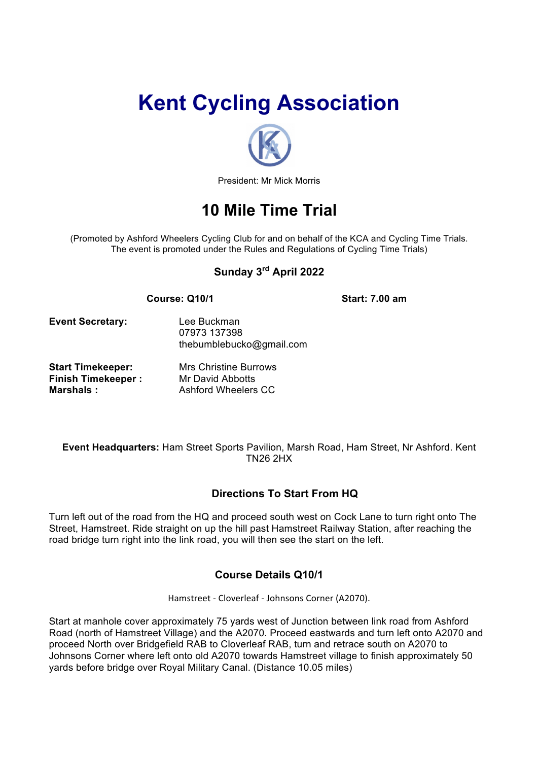# **Kent Cycling Association**



President: Mr Mick Morris

# **10 Mile Time Trial**

(Promoted by Ashford Wheelers Cycling Club for and on behalf of the KCA and Cycling Time Trials. The event is promoted under the Rules and Regulations of Cycling Time Trials)

# **Sunday 3rd April 2022**

#### **Course: Q10/1 Start: 7.00 am**

**Marshals :** Ashford Wheelers CC

**Event Secretary:** Lee Buckman

thebumblebucko@gmail.com **Start Timekeeper:** Mrs Christine Burrows **Finish Timekeeper :** Mr David Abbotts

07973 137398

**Event Headquarters:** Ham Street Sports Pavilion, Marsh Road, Ham Street, Nr Ashford. Kent TN26 2HX

# **Directions To Start From HQ**

Turn left out of the road from the HQ and proceed south west on Cock Lane to turn right onto The Street, Hamstreet. Ride straight on up the hill past Hamstreet Railway Station, after reaching the road bridge turn right into the link road, you will then see the start on the left.

# **Course Details Q10/1**

Hamstreet - Cloverleaf - Johnsons Corner (A2070).

Start at manhole cover approximately 75 yards west of Junction between link road from Ashford Road (north of Hamstreet Village) and the A2070. Proceed eastwards and turn left onto A2070 and proceed North over Bridgefield RAB to Cloverleaf RAB, turn and retrace south on A2070 to Johnsons Corner where left onto old A2070 towards Hamstreet village to finish approximately 50 yards before bridge over Royal Military Canal. (Distance 10.05 miles)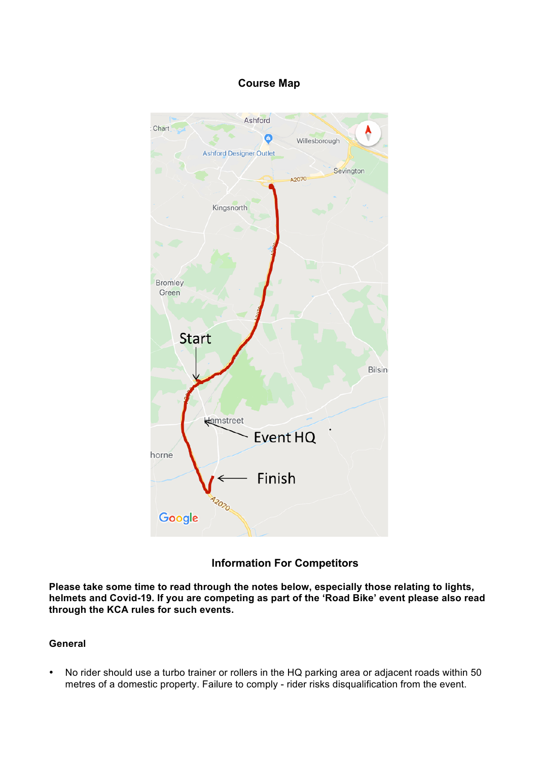## **Course Map**



## **Information For Competitors**

**Please take some time to read through the notes below, especially those relating to lights, helmets and Covid-19. If you are competing as part of the 'Road Bike' event please also read through the KCA rules for such events.**

#### **General**

• No rider should use a turbo trainer or rollers in the HQ parking area or adjacent roads within 50 metres of a domestic property. Failure to comply - rider risks disqualification from the event.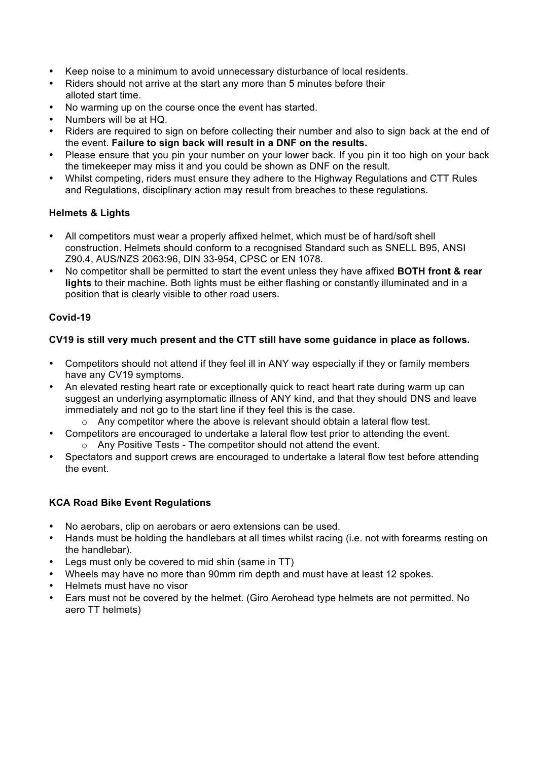- Keep noise to a minimum to avoid unnecessary disturbance of local residents.
- Riders should not arrive at the start any more than 5 minutes before their alloted start time.
- No warming up on the course once the event has started.
- Numbers will be at HQ.
- Riders are required to sign on before collecting their number and also to sign back at the end of the event. **Failure to sign back will result in a DNF on the results.**
- Please ensure that you pin your number on your lower back. If you pin it too high on your back the timekeeper may miss it and you could be shown as DNF on the result.
- Whilst competing, riders must ensure they adhere to the Highway Regulations and CTT Rules and Regulations, disciplinary action may result from breaches to these regulations.

#### **Helmets & Lights**

- All competitors must wear a properly affixed helmet, which must be of hard/soft shell construction. Helmets should conform to a recognised Standard such as SNELL B95, ANSI Z90.4, AUS/NZS 2063:96, DIN 33-954, CPSC or EN 1078.
- No competitor shall be permitted to start the event unless they have affixed **BOTH front & rear lights** to their machine. Both lights must be either flashing or constantly illuminated and in a position that is clearly visible to other road users.

#### **Covid-19**

#### **CV19 is still very much present and the CTT still have some guidance in place as follows.**

- Competitors should not attend if they feel ill in ANY way especially if they or family members have any CV19 symptoms.
- An elevated resting heart rate or exceptionally quick to react heart rate during warm up can suggest an underlying asymptomatic illness of ANY kind, and that they should DNS and leave immediately and not go to the start line if they feel this is the case.
	- $\circ$  Any competitor where the above is relevant should obtain a lateral flow test.
- Competitors are encouraged to undertake a lateral flow test prior to attending the event. o Any Positive Tests - The competitor should not attend the event.
- Spectators and support crews are encouraged to undertake a lateral flow test before attending the event.

#### **KCA Road Bike Event Regulations**

- No aerobars, clip on aerobars or aero extensions can be used.
- Hands must be holding the handlebars at all times whilst racing (i.e. not with forearms resting on the handlebar).
- Legs must only be covered to mid shin (same in TT)
- Wheels may have no more than 90mm rim depth and must have at least 12 spokes.
- Helmets must have no visor
- Ears must not be covered by the helmet. (Giro Aerohead type helmets are not permitted. No aero TT helmets)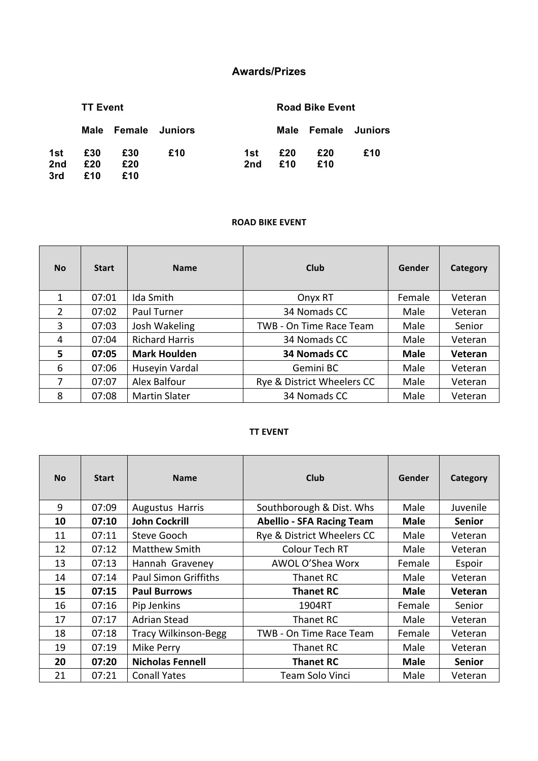# **Awards/Prizes**

|                 | <b>TT Event</b> |                     |     |     | <b>Road Bike Event</b> |                     |     |
|-----------------|-----------------|---------------------|-----|-----|------------------------|---------------------|-----|
|                 |                 | Male Female Juniors |     |     |                        | Male Female Juniors |     |
| 1st             | £30             | £30                 | £10 | 1st | £20                    | £20                 | £10 |
| 2 <sub>nd</sub> | £20             | £20                 |     | 2nd | £10                    | £10                 |     |
| 3rd             | £10             | £10                 |     |     |                        |                     |     |

#### **ROAD BIKE EVENT**

| <b>No</b> | <b>Start</b> | <b>Name</b>           | Club                       | Gender      | Category |
|-----------|--------------|-----------------------|----------------------------|-------------|----------|
| 1         | 07:01        | Ida Smith             | Onyx RT                    | Female      | Veteran  |
| 2         | 07:02        | Paul Turner           | 34 Nomads CC               | Male        | Veteran  |
| 3         | 07:03        | Josh Wakeling         | TWB - On Time Race Team    | Male        | Senior   |
| 4         | 07:04        | <b>Richard Harris</b> | 34 Nomads CC               | Male        | Veteran  |
| 5         | 07:05        | <b>Mark Houlden</b>   | 34 Nomads CC               | <b>Male</b> | Veteran  |
| 6         | 07:06        | Huseyin Vardal        | Gemini BC                  | Male        | Veteran  |
| 7         | 07:07        | Alex Balfour          | Rye & District Wheelers CC | Male        | Veteran  |
| 8         | 07:08        | <b>Martin Slater</b>  | 34 Nomads CC               | Male        | Veteran  |

#### **TT EVENT**

| <b>No</b> | <b>Start</b> | <b>Name</b>                 | Club                             | Gender      | Category      |
|-----------|--------------|-----------------------------|----------------------------------|-------------|---------------|
| 9         | 07:09        | Augustus Harris             | Southborough & Dist. Whs         | Male        | Juvenile      |
| 10        | 07:10        | <b>John Cockrill</b>        | <b>Abellio - SFA Racing Team</b> | <b>Male</b> | <b>Senior</b> |
| 11        | 07:11        | Steve Gooch                 | Rye & District Wheelers CC       | Male        | Veteran       |
| 12        | 07:12        | <b>Matthew Smith</b>        | Colour Tech RT                   | Male        | Veteran       |
| 13        | 07:13        | Hannah Graveney             | AWOL O'Shea Worx                 | Female      | Espoir        |
| 14        | 07:14        | <b>Paul Simon Griffiths</b> | Thanet RC                        | Male        | Veteran       |
| 15        | 07:15        | <b>Paul Burrows</b>         | <b>Thanet RC</b>                 | <b>Male</b> | Veteran       |
| 16        | 07:16        | Pip Jenkins                 | 1904RT                           | Female      | Senior        |
| 17        | 07:17        | <b>Adrian Stead</b>         | Thanet RC                        | Male        | Veteran       |
| 18        | 07:18        | <b>Tracy Wilkinson-Begg</b> | TWB - On Time Race Team          | Female      | Veteran       |
| 19        | 07:19        | Mike Perry                  | Thanet RC                        | Male        | Veteran       |
| 20        | 07:20        | <b>Nicholas Fennell</b>     | <b>Thanet RC</b>                 | <b>Male</b> | <b>Senior</b> |
| 21        | 07:21        | <b>Conall Yates</b>         | Team Solo Vinci                  | Male        | Veteran       |